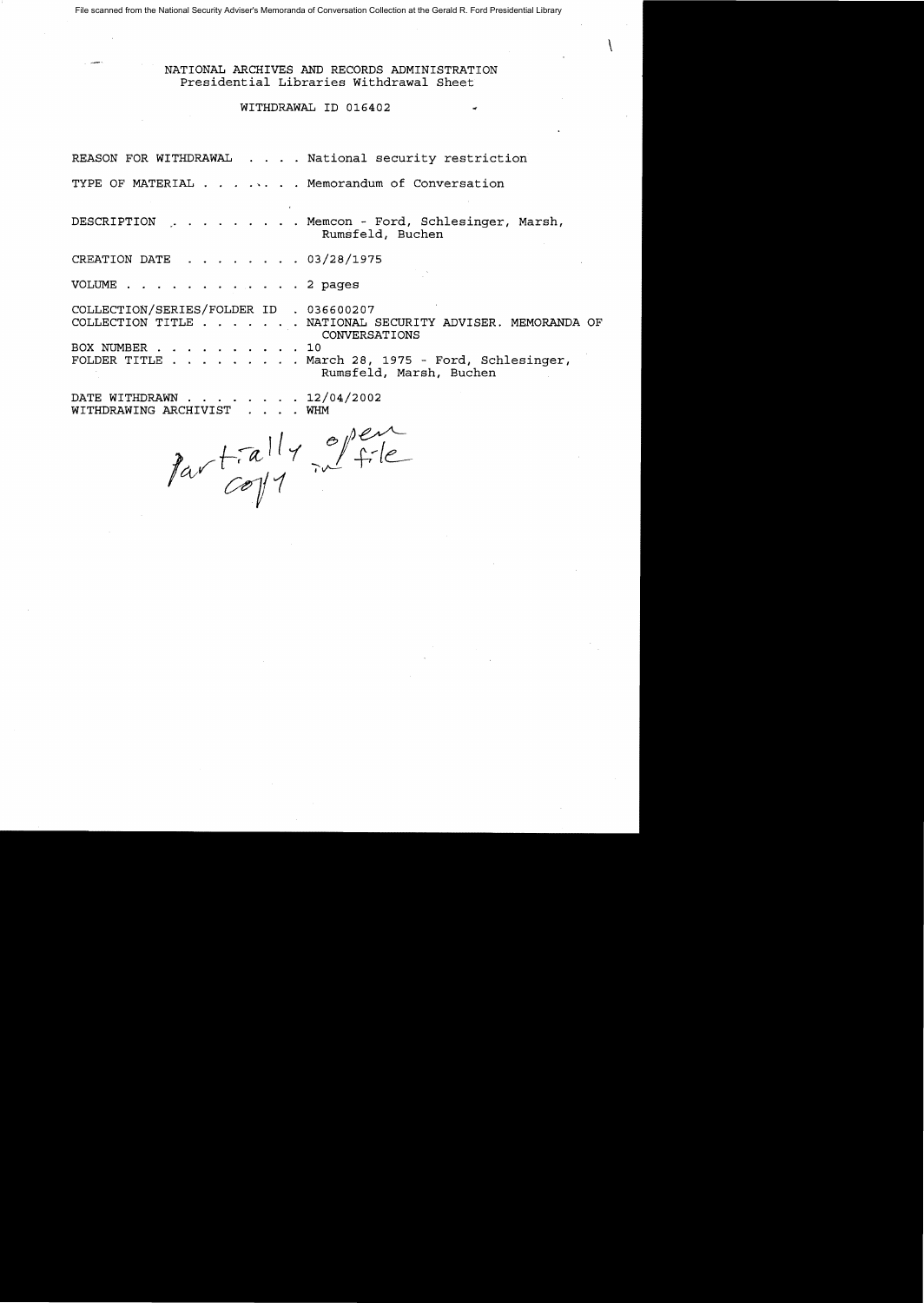File scanned from the National Security Adviser's Memoranda of Conversation Collection at the Gerald R. Ford Presidential Library

NATIONAL ARCHIVES AND RECORDS ADMINISTRATION Presidential Libraries Withdrawal Sheet

 $\mathcal{L}$ 

### WITHDRAWAL ID 016402

REASON FOR WITHDRAWAL . . . . National security restriction

TYPE OF MATERIAL . . . . . . Memorandum of Conversation

DESCRIPTION · Memcon - Ford, Schlesinger, Marsh, Rumsfeld, Buchen

CREATION DATE · 03/28/1975

VOLUME . . . . . . . . . . . 2 pages

COLLECTION/SERIES/FOLDER ID 036600207 COLLECTION TITLE . . . . . . NATIONAL SECURITY ADVISER. MEMORANDA OF BOX NUMBER FOLDER TITLE . . . . . . . . March 28, 1975 - Ford, Schlesinger, CONVERSATIONS  $. 10$ Rumsfeld, Marsh, Buchen

DATE WITHDRAWN . . .  $\cdot$   $12/04/2002$ • WHM

WITHDRAWING ARCHIVIST  $\cdots$  WHM<br>  $\int_{a}^{b}$  (a)  $\int_{a}^{c}$   $\frac{1}{c}$   $\frac{1}{c}$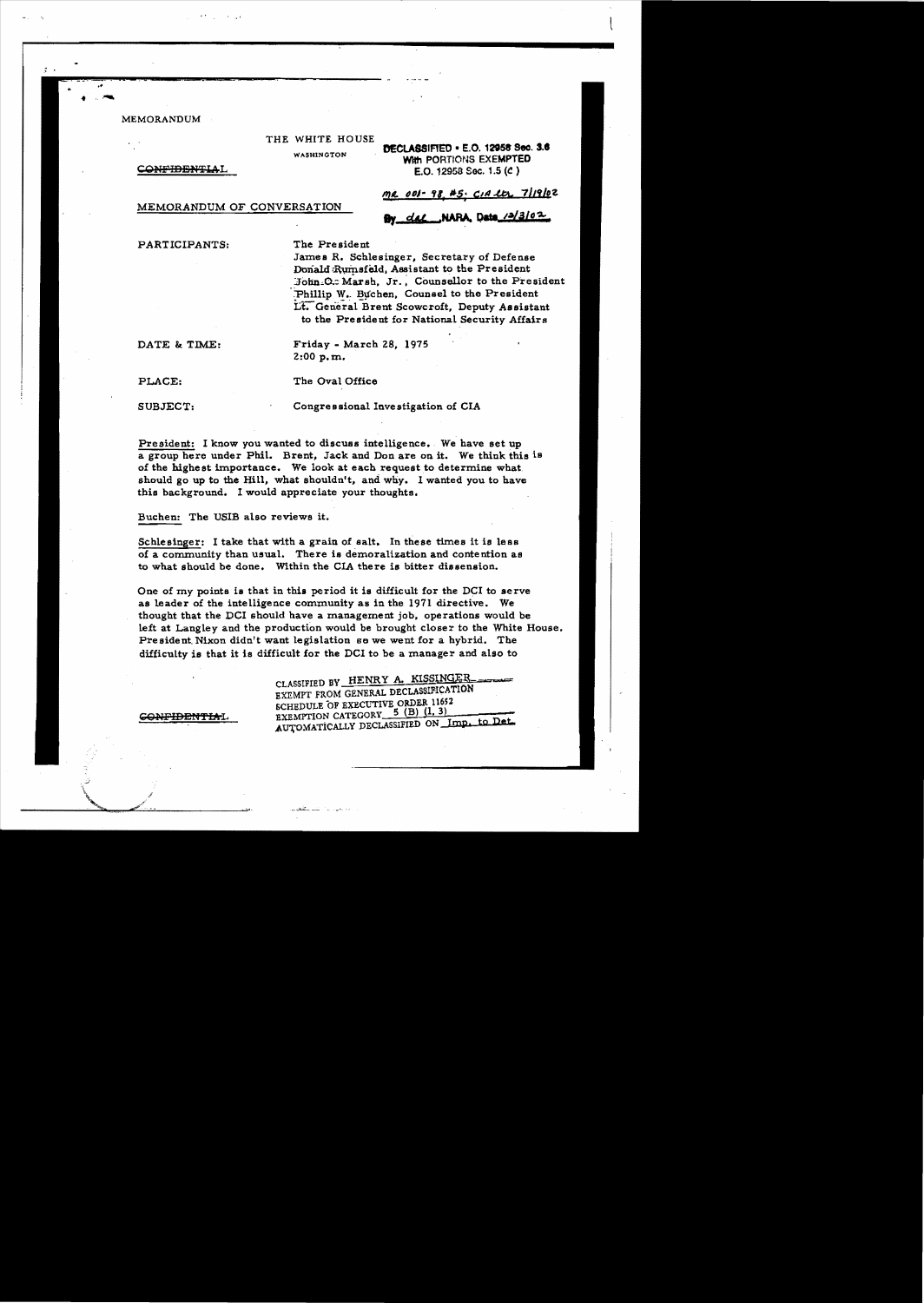**MEMORANDUM** 

THE WHITE HOUSE

**WASHINGTON** 

**CONFIDENTIAL** 

MEMORANDUM OF CONVERSATION

### DECLASSIFIED . E.O. 12958 Sec. 3.6 With PORTIONS EXEMPTED E.O. 12958 Sec. 1.5 ( $c$ )

<u>me 001-98 #5. CIA etc. 7/19/0</u>2

# By dal NARA Data 12/3/02

PARTICIPANTS:

The President

James R. Schlesinger, Secretary of Defense Donald Rumsfeld, Assistant to the President John O.: Marsh, Jr., Counsellor to the President Phillip W. Buchen, Counsel to the President Lt. General Brent Scowcroft, Deputy Assistant to the President for National Security Affairs

DATE & TIME:

Friday - March 28, 1975  $2:00 p.m.$ 

PLACE:

SUBJECT:

Congressional Investigation of CIA

President: I know you wanted to discuss intelligence. We have set up a group here under Phil. Brent, Jack and Don are on it. We think this is of the highest importance. We look at each request to determine what should go up to the Hill, what shouldn't, and why. I wanted you to have this background. I would appreciate your thoughts,

The Oval Office

Buchen: The USIB also reviews it.

Schlesinger: I take that with a grain of salt. In these times it is less of a community than usual. There is demoralization and contention as to what should be done. Within the CIA there is bitter dissension.

One of my points is that in this period it is difficult for the DCI to serve as leader of the intelligence community as in the 1971 directive. We thought that the DCI should have a management job, operations would be left at Langley and the production would be brought closer to the White House. President Nixon didn't want legislation se we went for a hybrid. The difficulty is that it is difficult for the DCI to be a manager and also to

> CLASSIFIED BY HENRY A. KISSINGER EXEMPT FROM GENERAL DECLASSIFICATION SCHEDULE OF EXECUTIVE ORDER 11652 EXEMPTION CATEGORY 5 (B) (1, 3) AUTOMATICALLY DECLASSIFIED ON Imp. to Det.

**CONFIDENTIAL**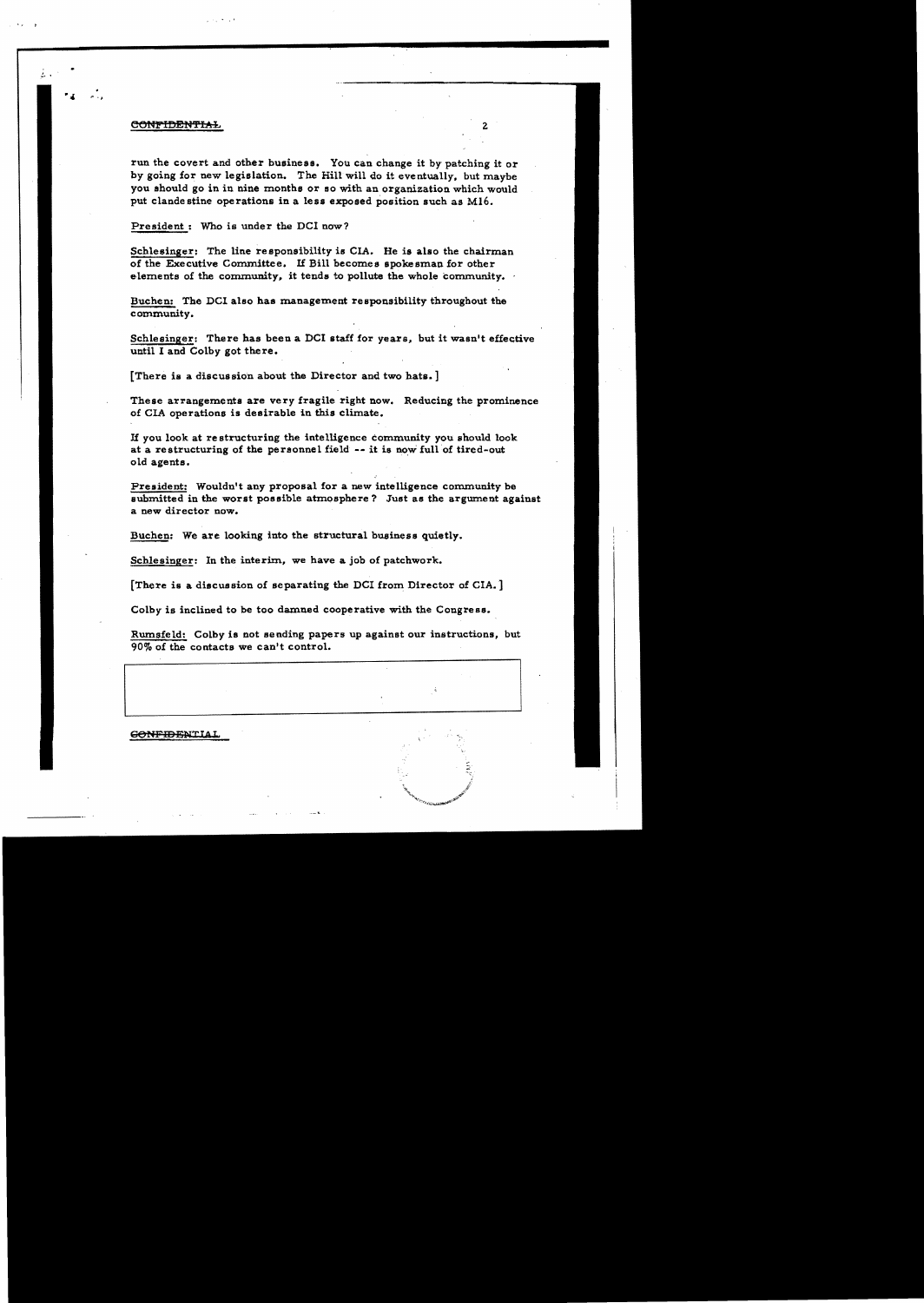#### CONFIDENTIAL

 $\mathbf{u} \in \mathbb{R}^n$ 

run the covert and other business. You Can change it by patching it or by going for new legislation. The Hill will do it eventually. but maybe you should go in in nine months or so with an organization which would put clande stine operations in a less exposed position such as M16.

President: Who is under the DCI now?

Schlesinger: The line responsibility is CIA. He is also the chairman of the Executive Committee. If Bill becomes spokesman for other elements of the community, it tends to pollute the whole community.

Bucben: The DCI also has management responsibility throughout the community.

Schlesinger: There has been a DCI staff for years, but it wasn't effective until I and Colby got there.

[There is a discussion about the Director and two hats. ]

These arrangements are very fragile right now. Reducing the prominence of CIA operations is desirable in this climate.

If you look at re structuring the intelligence community you should look at a restructuring of the personnel field  $-$ - it is now full of tired-out old agents.

President: Wouldn't any proposal for a new intelligence community be submitted in the worst possible atmosphere? Just as the argument against a new director now.

Buchen: We are looking into the structural business quietly\_

Schlesinger: In the interim, we have a job of patchwork.

[There is a discussion of separating the DCI from Director of CIA.]

Colby is inclined to be too damned cooperative with the Congress.

Rumsfeld: Colby is not sending papers up against our instructions, but 90% of the contacts we can't control.

**GONFIDENTIAL**